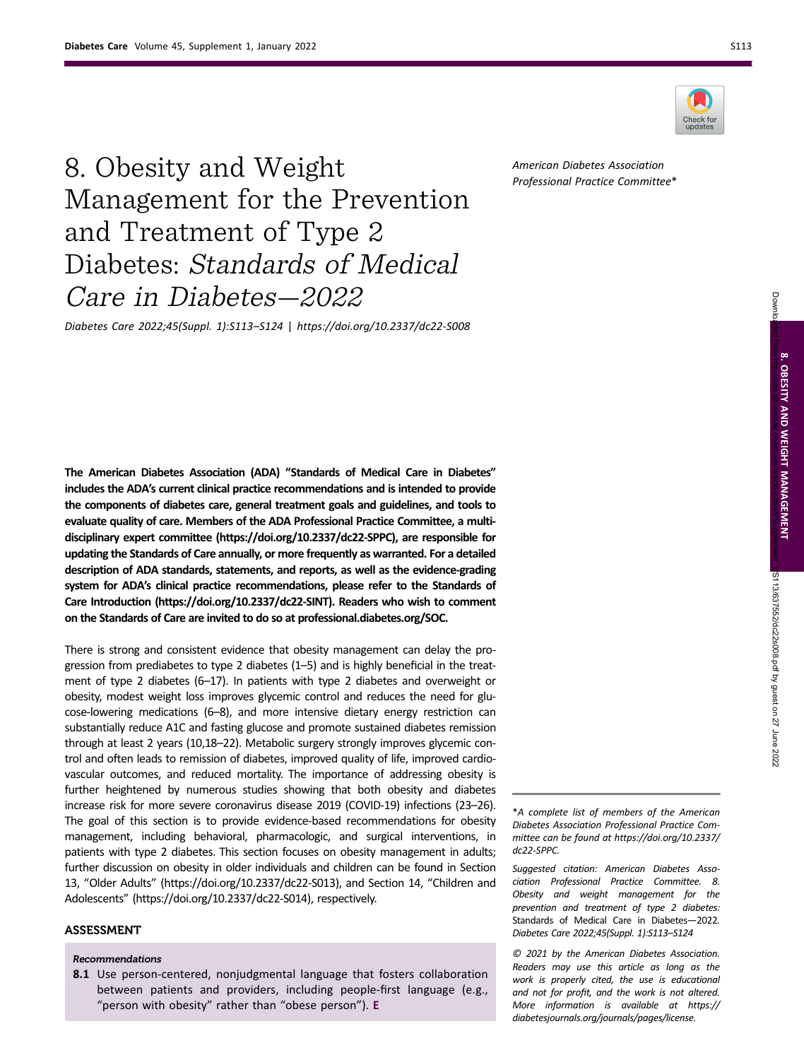

American Diabetes Association Professional Practice Committee\*

# 8. Obesity and Weight Management for the Prevention and Treatment of Type 2 Diabetes: Standards of Medical Care in Diabetes—2022

Diabetes Care 2022;45(Suppl. 1):S113–S124 | https://doi.org/10.2337/dc22-S008

The American Diabetes Association (ADA) "Standards of Medical Care in Diabetes" includes the ADA's current clinical practice recommendations and is intended to provide the components of diabetes care, general treatment goals and guidelines, and tools to evaluate quality of care. Members of the ADA Professional Practice Committee, a multidisciplinary expert committee [\(https://doi.org/10.2337/dc22-SPPC](https://doi.org/10.2337/dc22-SPPC)), are responsible for updating the Standards of Care annually, or more frequently as warranted. For a detailed description of ADA standards, statements, and reports, as well as the evidence-grading system for ADA's clinical practice recommendations, please refer to the Standards of Care Introduction [\(https://doi.org/10.2337/dc22-SINT\)](https://doi.org/10.2337/dc22-SINT). Readers who wish to comment on the Standards of Care are invited to do so at [professional.diabetes.org/SOC.](https://professional.diabetes.org/SOC)

There is strong and consistent evidence that obesity management can delay the progression from prediabetes to type 2 diabetes (1–5) and is highly beneficial in the treatment of type 2 diabetes (6–17). In patients with type 2 diabetes and overweight or obesity, modest weight loss improves glycemic control and reduces the need for glucose-lowering medications (6–8), and more intensive dietary energy restriction can substantially reduce A1C and fasting glucose and promote sustained diabetes remission through at least 2 years (10,18–22). Metabolic surgery strongly improves glycemic control and often leads to remission of diabetes, improved quality of life, improved cardiovascular outcomes, and reduced mortality. The importance of addressing obesity is further heightened by numerous studies showing that both obesity and diabetes increase risk for more severe coronavirus disease 2019 (COVID-19) infections (23–26). The goal of this section is to provide evidence-based recommendations for obesity management, including behavioral, pharmacologic, and surgical interventions, in patients with type 2 diabetes. This section focuses on obesity management in adults; further discussion on obesity in older individuals and children can be found in Section 13, "Older Adults" [\(https://doi.org/10.2337/dc22-S013\)](https://doi.org/10.2337/dc22-S013), and Section 14, "Children and Adolescents" [\(https://doi.org/10.2337/dc22-S014\)](https://doi.org/10.2337/dc22-S014), respectively.

# ASSESSMENT

#### Recommendations

8.1 Use person-centered, nonjudgmental language that fosters collaboration between patients and providers, including people-first language (e.g., "person with obesity" rather than "obese person"). E

\*A complete list of members of the American Diabetes Association Professional Practice Committee can be found at [https://doi.org/10.2337/](https://doi.org/10.2337/dc22-SPPC) [dc22-SPPC.](https://doi.org/10.2337/dc22-SPPC)

Suggested citation: American Diabetes Association Professional Practice Committee. 8. Obesity and weight management for the prevention and treatment of type 2 diabetes: Standards of Medical Care in Diabetes—2022. Diabetes Care 2022;45(Suppl. 1):S113–S124

© 2021 by the American Diabetes Association. Readers may use this article as long as the work is properly cited, the use is educational and not for profit, and the work is not altered. More information is available at [https://](https://diabetesjournals.org/journals/pages/license) [diabetesjournals.org/journals/pages/license.](https://diabetesjournals.org/journals/pages/license)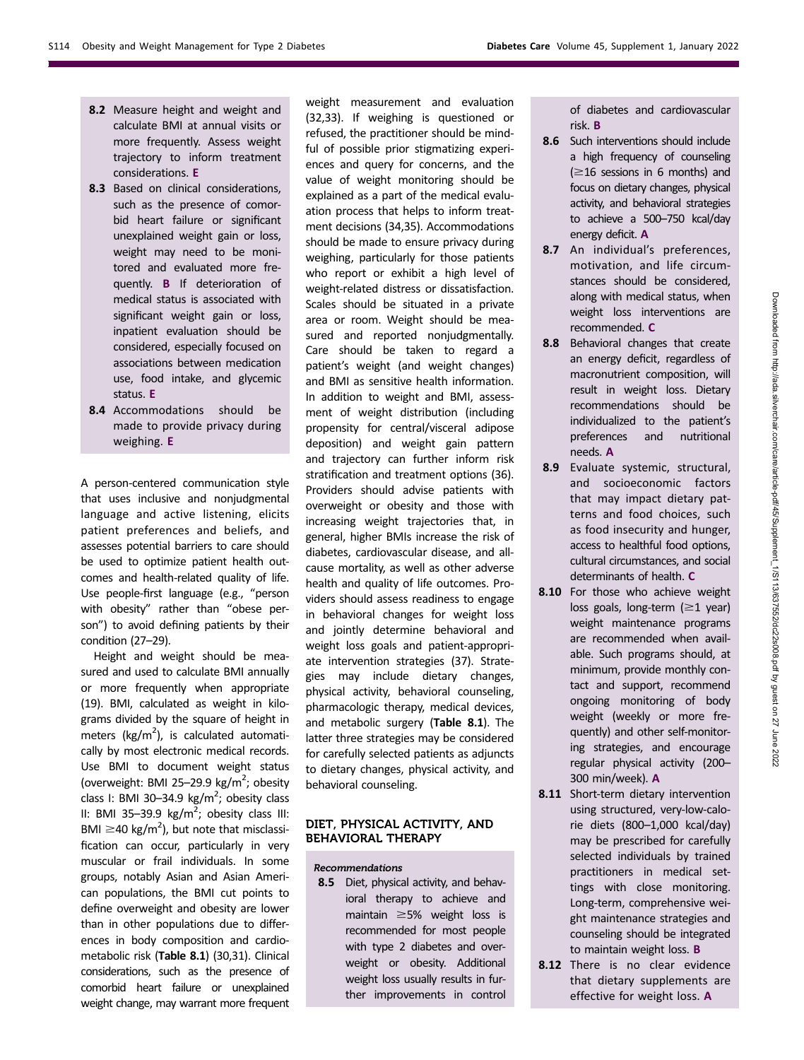- 8.2 Measure height and weight and calculate BMI at annual visits or more frequently. Assess weight trajectory to inform treatment considerations. E
- 8.3 Based on clinical considerations, such as the presence of comorbid heart failure or significant unexplained weight gain or loss, weight may need to be monitored and evaluated more frequently. B If deterioration of medical status is associated with significant weight gain or loss, inpatient evaluation should be considered, especially focused on associations between medication use, food intake, and glycemic status. E
- 8.4 Accommodations should be made to provide privacy during weighing. E

A person-centered communication style that uses inclusive and nonjudgmental language and active listening, elicits patient preferences and beliefs, and assesses potential barriers to care should be used to optimize patient health outcomes and health-related quality of life. Use people-first language (e.g., "person with obesity" rather than "obese person") to avoid defining patients by their condition (27–29).

Height and weight should be measured and used to calculate BMI annually or more frequently when appropriate (19). BMI, calculated as weight in kilograms divided by the square of height in meters  $(kg/m<sup>2</sup>)$ , is calculated automatically by most electronic medical records. Use BMI to document weight status (overweight: BMI 25-29.9 kg/m<sup>2</sup>; obesity class I: BMI 30-34.9  $\text{kg/m}^2$ ; obesity class II: BMI 35-39.9  $\text{kg/m}^2$ ; obesity class III: BMI  $\geq$ 40 kg/m<sup>2</sup>), but note that misclassification can occur, particularly in very muscular or frail individuals. In some groups, notably Asian and Asian American populations, the BMI cut points to define overweight and obesity are lower than in other populations due to differences in body composition and cardiometabolic risk (Table 8.1) (30,31). Clinical considerations, such as the presence of comorbid heart failure or unexplained weight change, may warrant more frequent weight measurement and evaluation (32,33). If weighing is questioned or refused, the practitioner should be mindful of possible prior stigmatizing experiences and query for concerns, and the value of weight monitoring should be explained as a part of the medical evaluation process that helps to inform treatment decisions (34,35). Accommodations should be made to ensure privacy during weighing, particularly for those patients who report or exhibit a high level of weight-related distress or dissatisfaction. Scales should be situated in a private area or room. Weight should be measured and reported nonjudgmentally. Care should be taken to regard a patient's weight (and weight changes) and BMI as sensitive health information. In addition to weight and BMI, assessment of weight distribution (including propensity for central/visceral adipose deposition) and weight gain pattern and trajectory can further inform risk stratification and treatment options (36). Providers should advise patients with overweight or obesity and those with increasing weight trajectories that, in general, higher BMIs increase the risk of diabetes, cardiovascular disease, and allcause mortality, as well as other adverse health and quality of life outcomes. Providers should assess readiness to engage in behavioral changes for weight loss and jointly determine behavioral and weight loss goals and patient-appropriate intervention strategies (37). Strategies may include dietary changes, physical activity, behavioral counseling, pharmacologic therapy, medical devices, and metabolic surgery (Table 8.1). The latter three strategies may be considered for carefully selected patients as adjuncts to dietary changes, physical activity, and behavioral counseling.

## DIET, PHYSICAL ACTIVITY, AND BEHAVIORAL THERAPY

#### Recommendations

8.5 Diet, physical activity, and behavioral therapy to achieve and maintain  $\geq$ 5% weight loss is recommended for most people with type 2 diabetes and overweight or obesity. Additional weight loss usually results in further improvements in control

of diabetes and cardiovascular risk. B

- 8.6 Such interventions should include a high frequency of counseling  $(\geq 16$  sessions in 6 months) and focus on dietary changes, physical activity, and behavioral strategies to achieve a 500–750 kcal/day energy deficit. A
- 8.7 An individual's preferences, motivation, and life circumstances should be considered, along with medical status, when weight loss interventions are recommended. C
- 8.8 Behavioral changes that create an energy deficit, regardless of macronutrient composition, will result in weight loss. Dietary recommendations should be individualized to the patient's preferences and nutritional needs. A
- 8.9 Evaluate systemic, structural, and socioeconomic factors that may impact dietary patterns and food choices, such as food insecurity and hunger, access to healthful food options, cultural circumstances, and social determinants of health. C
- 8.10 For those who achieve weight loss goals, long-term  $(\geq 1$  year) weight maintenance programs are recommended when available. Such programs should, at minimum, provide monthly contact and support, recommend ongoing monitoring of body weight (weekly or more frequently) and other self-monitoring strategies, and encourage regular physical activity (200– 300 min/week). A
- 8.11 Short-term dietary intervention using structured, very-low-calorie diets (800–1,000 kcal/day) may be prescribed for carefully selected individuals by trained practitioners in medical settings with close monitoring. Long-term, comprehensive weight maintenance strategies and counseling should be integrated to maintain weight loss. B
- 8.12 There is no clear evidence that dietary supplements are effective for weight loss. A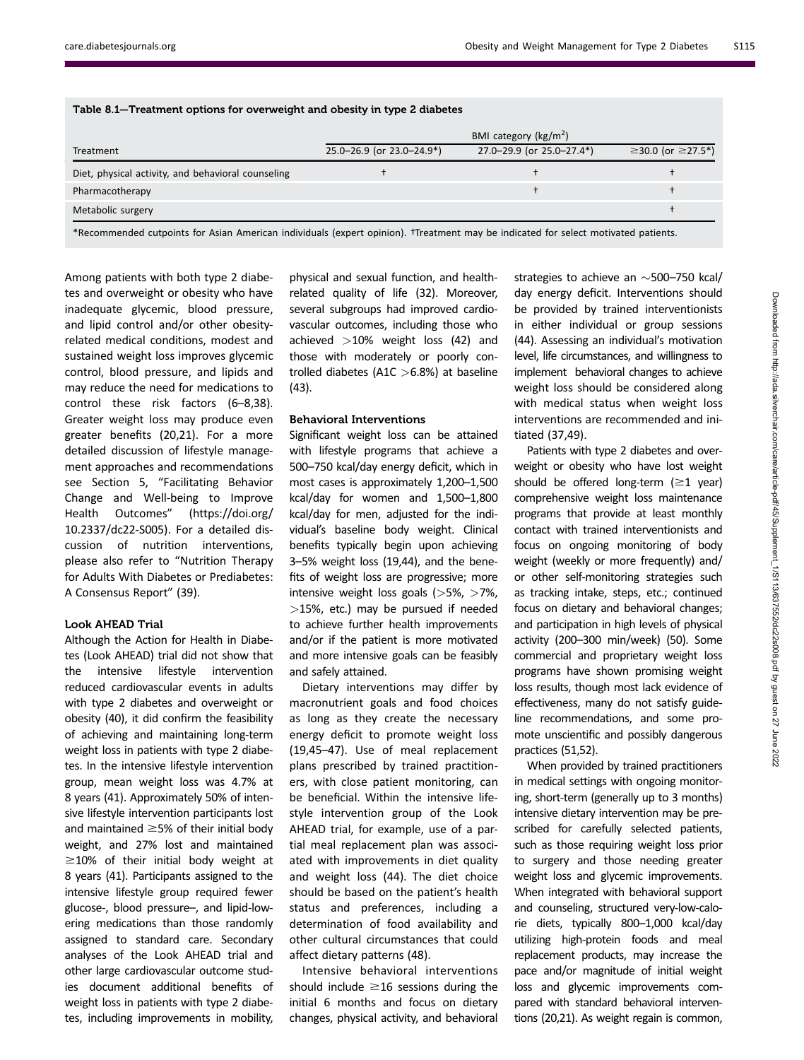|                                                    |                           | BMI category ( $\text{kg/m}^2$ ) |                                            |
|----------------------------------------------------|---------------------------|----------------------------------|--------------------------------------------|
| Treatment                                          | 25.0-26.9 (or 23.0-24.9*) | 27.0-29.9 (or 25.0-27.4*)        | $\geq$ 30.0 (or $\geq$ 27.5 <sup>*</sup> ) |
| Diet, physical activity, and behavioral counseling |                           |                                  |                                            |
| Pharmacotherapy                                    |                           |                                  |                                            |
| Metabolic surgery                                  |                           |                                  |                                            |

\*Recommended cutpoints for Asian American individuals (expert opinion). †Treatment may be indicated for select motivated patients.

Table 8.1—Treatment options for overweight and obesity in type 2 diabetes

Among patients with both type 2 diabetes and overweight or obesity who have inadequate glycemic, blood pressure, and lipid control and/or other obesityrelated medical conditions, modest and sustained weight loss improves glycemic control, blood pressure, and lipids and may reduce the need for medications to control these risk factors (6–8,38). Greater weight loss may produce even greater benefits (20,21). For a more detailed discussion of lifestyle management approaches and recommendations see Section 5, "Facilitating Behavior Change and Well-being to Improve Health Outcomes" ([https://doi.org/](https://doi.org/10.2337/dc22-S005) [10.2337/dc22-S005](https://doi.org/10.2337/dc22-S005)). For a detailed discussion of nutrition interventions, please also refer to "Nutrition Therapy for Adults With Diabetes or Prediabetes: A Consensus Report" (39).

## Look AHEAD Trial

Although the Action for Health in Diabetes (Look AHEAD) trial did not show that the intensive lifestyle intervention reduced cardiovascular events in adults with type 2 diabetes and overweight or obesity (40), it did confirm the feasibility of achieving and maintaining long-term weight loss in patients with type 2 diabetes. In the intensive lifestyle intervention group, mean weight loss was 4.7% at 8 years (41). Approximately 50% of intensive lifestyle intervention participants lost and maintained  $\geq$ 5% of their initial body weight, and 27% lost and maintained  $\geq$ 10% of their initial body weight at 8 years (41). Participants assigned to the intensive lifestyle group required fewer glucose-, blood pressure–, and lipid-lowering medications than those randomly assigned to standard care. Secondary analyses of the Look AHEAD trial and other large cardiovascular outcome studies document additional benefits of weight loss in patients with type 2 diabetes, including improvements in mobility,

physical and sexual function, and healthrelated quality of life (32). Moreover, several subgroups had improved cardiovascular outcomes, including those who achieved  $>10%$  weight loss (42) and those with moderately or poorly controlled diabetes (A1C  $>6.8%$ ) at baseline (43).

## Behavioral Interventions

Significant weight loss can be attained with lifestyle programs that achieve a 500–750 kcal/day energy deficit, which in most cases is approximately 1,200–1,500 kcal/day for women and 1,500–1,800 kcal/day for men, adjusted for the individual's baseline body weight. Clinical benefits typically begin upon achieving 3–5% weight loss (19,44), and the benefits of weight loss are progressive; more intensive weight loss goals  $(>5\%, >7\%$ ,  $>$ 15%, etc.) may be pursued if needed to achieve further health improvements and/or if the patient is more motivated and more intensive goals can be feasibly and safely attained.

Dietary interventions may differ by macronutrient goals and food choices as long as they create the necessary energy deficit to promote weight loss (19,45–47). Use of meal replacement plans prescribed by trained practitioners, with close patient monitoring, can be beneficial. Within the intensive lifestyle intervention group of the Look AHEAD trial, for example, use of a partial meal replacement plan was associated with improvements in diet quality and weight loss (44). The diet choice should be based on the patient's health status and preferences, including a determination of food availability and other cultural circumstances that could affect dietary patterns (48).

Intensive behavioral interventions should include  $\geq$ 16 sessions during the initial 6 months and focus on dietary changes, physical activity, and behavioral strategies to achieve an  $\sim$  500–750 kcal/ day energy deficit. Interventions should be provided by trained interventionists in either individual or group sessions (44). Assessing an individual's motivation level, life circumstances, and willingness to implement behavioral changes to achieve weight loss should be considered along with medical status when weight loss interventions are recommended and initiated (37,49).

Patients with type 2 diabetes and overweight or obesity who have lost weight should be offered long-term  $(\geq 1 \text{ year})$ comprehensive weight loss maintenance programs that provide at least monthly contact with trained interventionists and focus on ongoing monitoring of body weight (weekly or more frequently) and/ or other self-monitoring strategies such as tracking intake, steps, etc.; continued focus on dietary and behavioral changes; and participation in high levels of physical activity (200–300 min/week) (50). Some commercial and proprietary weight loss programs have shown promising weight loss results, though most lack evidence of effectiveness, many do not satisfy guideline recommendations, and some promote unscientific and possibly dangerous practices (51,52).

When provided by trained practitioners in medical settings with ongoing monitoring, short-term (generally up to 3 months) intensive dietary intervention may be prescribed for carefully selected patients, such as those requiring weight loss prior to surgery and those needing greater weight loss and glycemic improvements. When integrated with behavioral support and counseling, structured very-low-calorie diets, typically 800–1,000 kcal/day utilizing high-protein foods and meal replacement products, may increase the pace and/or magnitude of initial weight loss and glycemic improvements compared with standard behavioral interventions (20,21). As weight regain is common,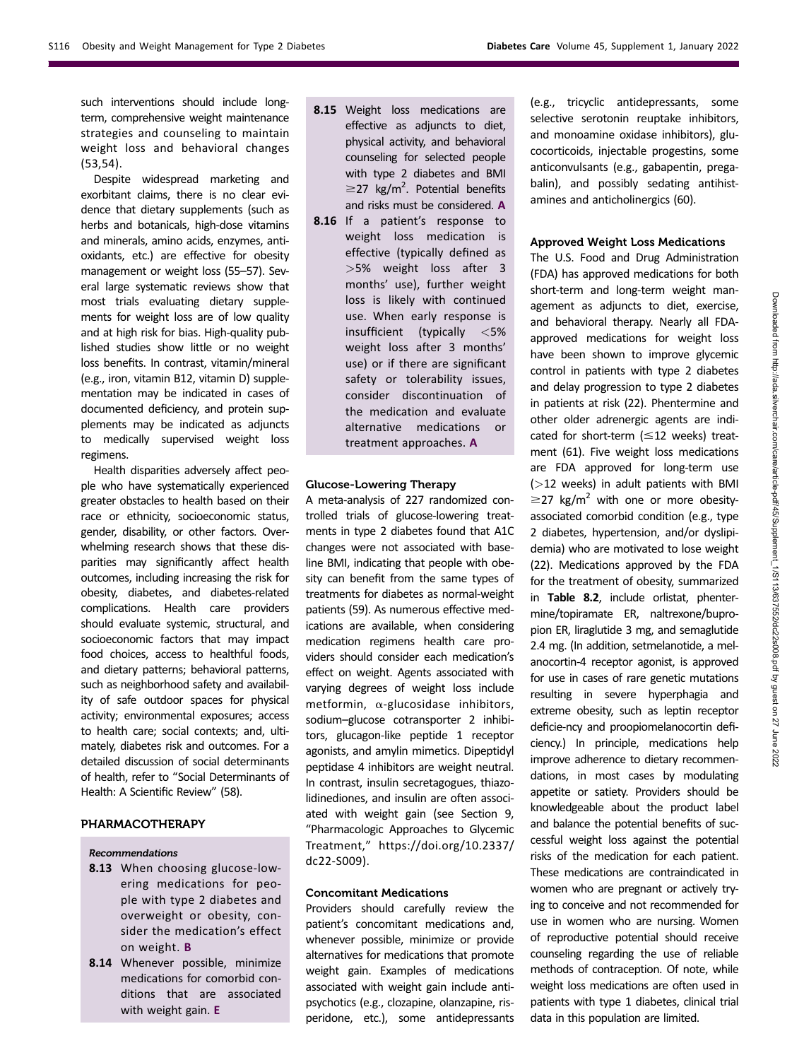such interventions should include longterm, comprehensive weight maintenance strategies and counseling to maintain weight loss and behavioral changes (53,54).

Despite widespread marketing and exorbitant claims, there is no clear evidence that dietary supplements (such as herbs and botanicals, high-dose vitamins and minerals, amino acids, enzymes, antioxidants, etc.) are effective for obesity management or weight loss (55–57). Several large systematic reviews show that most trials evaluating dietary supplements for weight loss are of low quality and at high risk for bias. High-quality published studies show little or no weight loss benefits. In contrast, vitamin/mineral (e.g., iron, vitamin B12, vitamin D) supplementation may be indicated in cases of documented deficiency, and protein supplements may be indicated as adjuncts to medically supervised weight loss regimens.

Health disparities adversely affect people who have systematically experienced greater obstacles to health based on their race or ethnicity, socioeconomic status, gender, disability, or other factors. Overwhelming research shows that these disparities may significantly affect health outcomes, including increasing the risk for obesity, diabetes, and diabetes-related complications. Health care providers should evaluate systemic, structural, and socioeconomic factors that may impact food choices, access to healthful foods, and dietary patterns; behavioral patterns, such as neighborhood safety and availability of safe outdoor spaces for physical activity; environmental exposures; access to health care; social contexts; and, ultimately, diabetes risk and outcomes. For a detailed discussion of social determinants of health, refer to "Social Determinants of Health: A Scientific Review" (58).

# PHARMACOTHERAPY

#### Recommendations

- 8.13 When choosing glucose-lowering medications for people with type 2 diabetes and overweight or obesity, consider the medication's effect on weight. B
- 8.14 Whenever possible, minimize medications for comorbid conditions that are associated with weight gain. E
- 8.15 Weight loss medications are effective as adjuncts to diet, physical activity, and behavioral counseling for selected people with type 2 diabetes and BMI  $\geq$ 27 kg/m<sup>2</sup>. Potential benefits and risks must be considered. A
- 8.16 If a patient's response to weight loss medication is effective (typically defined as >5% weight loss after 3 months' use), further weight loss is likely with continued use. When early response is insufficient (typically <5% weight loss after 3 months' use) or if there are significant safety or tolerability issues, consider discontinuation of the medication and evaluate alternative medications or treatment approaches. A

## Glucose-Lowering Therapy

A meta-analysis of 227 randomized controlled trials of glucose-lowering treatments in type 2 diabetes found that A1C changes were not associated with baseline BMI, indicating that people with obesity can benefit from the same types of treatments for diabetes as normal-weight patients (59). As numerous effective medications are available, when considering medication regimens health care providers should consider each medication's effect on weight. Agents associated with varying degrees of weight loss include metformin,  $\alpha$ -glucosidase inhibitors, sodium–glucose cotransporter 2 inhibitors, glucagon-like peptide 1 receptor agonists, and amylin mimetics. Dipeptidyl peptidase 4 inhibitors are weight neutral. In contrast, insulin secretagogues, thiazolidinediones, and insulin are often associated with weight gain (see Section 9, "Pharmacologic Approaches to Glycemic Treatment," [https://doi.org/10.2337/](https://doi.org/10.2337/dc22-S009) [dc22-S009\)](https://doi.org/10.2337/dc22-S009).

## Concomitant Medications

Providers should carefully review the patient's concomitant medications and, whenever possible, minimize or provide alternatives for medications that promote weight gain. Examples of medications associated with weight gain include antipsychotics (e.g., clozapine, olanzapine, risperidone, etc.), some antidepressants

(e.g., tricyclic antidepressants, some selective serotonin reuptake inhibitors, and monoamine oxidase inhibitors), glucocorticoids, injectable progestins, some anticonvulsants (e.g., gabapentin, pregabalin), and possibly sedating antihistamines and anticholinergics (60).

## Approved Weight Loss Medications

The U.S. Food and Drug Administration (FDA) has approved medications for both short-term and long-term weight management as adjuncts to diet, exercise, and behavioral therapy. Nearly all FDAapproved medications for weight loss have been shown to improve glycemic control in patients with type 2 diabetes and delay progression to type 2 diabetes in patients at risk (22). Phentermine and other older adrenergic agents are indicated for short-term  $(\leq 12$  weeks) treatment (61). Five weight loss medications are FDA approved for long-term use (>12 weeks) in adult patients with BMI  $\geq$ 27 kg/m<sup>2</sup> with one or more obesityassociated comorbid condition (e.g., type 2 diabetes, hypertension, and/or dyslipidemia) who are motivated to lose weight (22). Medications approved by the FDA for the treatment of obesity, summarized in Table 8.2, include orlistat, phentermine/topiramate ER, naltrexone/bupropion ER, liraglutide 3 mg, and semaglutide 2.4 mg. (In addition, setmelanotide, a melanocortin-4 receptor agonist, is approved for use in cases of rare genetic mutations resulting in severe hyperphagia and extreme obesity, such as leptin receptor deficie-ncy and proopiomelanocortin deficiency.) In principle, medications help improve adherence to dietary recommendations, in most cases by modulating appetite or satiety. Providers should be knowledgeable about the product label and balance the potential benefits of successful weight loss against the potential risks of the medication for each patient. These medications are contraindicated in women who are pregnant or actively trying to conceive and not recommended for use in women who are nursing. Women of reproductive potential should receive counseling regarding the use of reliable methods of contraception. Of note, while weight loss medications are often used in patients with type 1 diabetes, clinical trial data in this population are limited.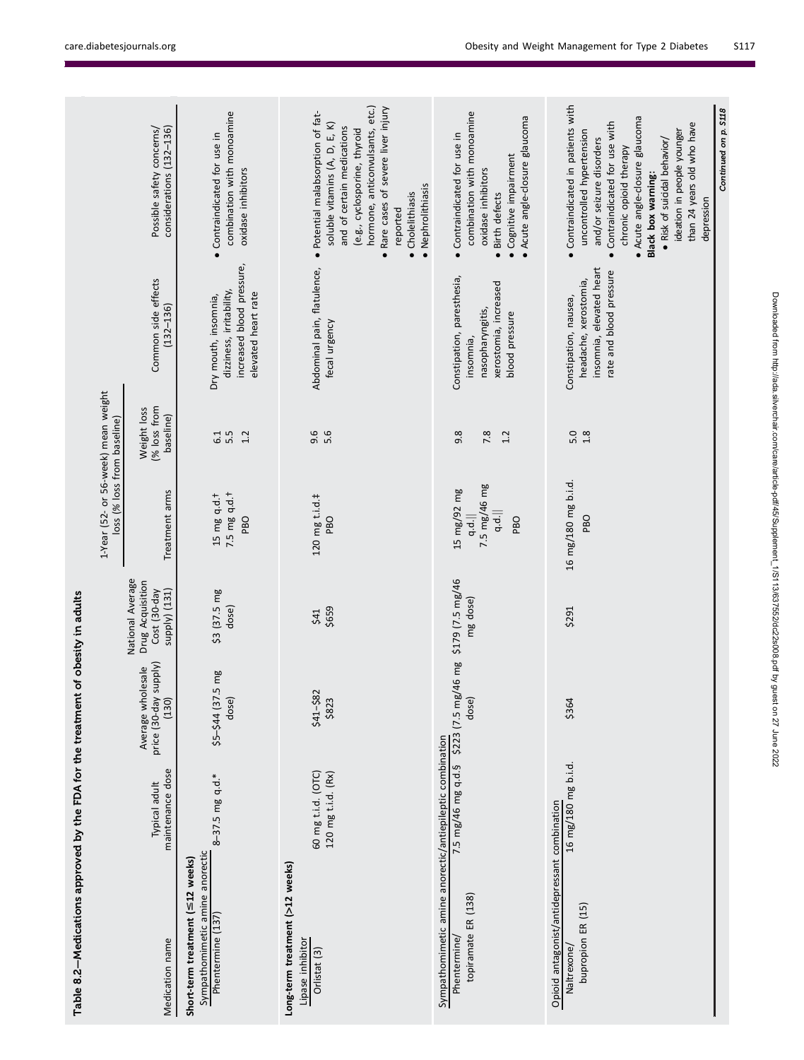| Table 8.2-Medications approved by the FDA for the treatment of obesity in adults         |                                          |                                                     |                                                                       |                                                                    |                                          |                                                                                                       |                                                                                                                                                                                                                                                                                                                           |
|------------------------------------------------------------------------------------------|------------------------------------------|-----------------------------------------------------|-----------------------------------------------------------------------|--------------------------------------------------------------------|------------------------------------------|-------------------------------------------------------------------------------------------------------|---------------------------------------------------------------------------------------------------------------------------------------------------------------------------------------------------------------------------------------------------------------------------------------------------------------------------|
|                                                                                          |                                          |                                                     |                                                                       | 1-Year (52- or 56-week) mean weight<br>loss (% loss from baseline) |                                          |                                                                                                       |                                                                                                                                                                                                                                                                                                                           |
| Medication name                                                                          | maintenance dose<br>Typical adult        | price (30-day supply)<br>(130)<br>Average wholesale | National Average<br>Drug Acquisition<br>supply) (131)<br>Cost (30-day | Treatment arms                                                     | (% loss from<br>Weight loss<br>baseline) | Common side effects<br>$(132 - 136)$                                                                  | Possible safety concerns/<br>considerations (132-136)                                                                                                                                                                                                                                                                     |
| Sympathomimetic amine anorectic<br>Short-term treatment (≤12 weeks)<br>Phentermine (137) | 8-37.5 mg q.d.*                          | \$5-\$44 (37.5 mg<br>dose)                          | \$3 (37.5 mg<br>dose)                                                 | 7.5 mg q.d. <sup>+</sup><br>$15$ mg q.d.t<br>PBO                   | 5.5<br>1.2<br>6.1                        | increased blood pressure,<br>dizziness, irritability,<br>elevated heart rate<br>Dry mouth, insomnia,  | combination with monoamine<br>• Contraindicated for use in<br>oxidase inhibitors                                                                                                                                                                                                                                          |
| Long-term treatment (>12 weeks)<br>Lipase inhibitor<br>Orlistat <sub>(3)</sub>           | 60 mg t.i.d. (OTC)<br>120 mg t.i.d. (Rx) | $$41 - $82$<br>\$823                                | \$659<br>\$41                                                         | 120 mg t.i.d.‡<br>PBO                                              | 9.6<br>5.6                               | Abdominal pain, flatulence,<br>fecal urgency                                                          | hormone, anticonvulsants, etc.)<br>• Rare cases of severe liver injury<br>· Potential malabsorption of fat-<br>soluble vitamins (A, D, E, K)<br>and of certain medications<br>(e.g., cyclosporine, thyroid<br>· Nephrolithiasis<br>• Cholelithiasis<br>reported                                                           |
| Sympathomimetic amine anorectic/antiepileptic combination<br>Phentermine/                |                                          | 7.5 mg/46 mg q.d.5 \$223 (7.5 mg/46 mg              | \$179 (7.5 mg/46                                                      | 15 mg/92 mg                                                        | 9.8                                      | Constipation, paresthesia,                                                                            | • Contraindicated for use in                                                                                                                                                                                                                                                                                              |
| topiramate ER (138)                                                                      |                                          | dose)                                               | mg dose)                                                              | 7.5 mg/46 mg<br>q.d.<br>q.d.<br>PBO                                | 7.8<br>1.2                               | xerostomia, increased<br>nasopharyngitis,<br>blood pressure<br>insomnia,                              | combination with monoamine<br>• Acute angle-closure glaucoma<br>· Cognitive impairment<br>oxidase inhibitors<br>Birth defects<br>$\bullet$                                                                                                                                                                                |
| Opioid antagonist/antidepressant combination                                             |                                          |                                                     |                                                                       |                                                                    |                                          |                                                                                                       |                                                                                                                                                                                                                                                                                                                           |
| bupropion ER (15)<br>Naltrexone/                                                         | 16 mg/180 mg b.i.d.                      | \$364                                               | \$291                                                                 | 16 mg/180 mg b.i.d.<br><b>PBO</b>                                  | 5.0<br>1.8                               | insomnia, elevated heart<br>rate and blood pressure<br>headache, xerostomia,<br>Constipation, nausea, | · Contraindicated in patients with<br>· Acute angle-closure glaucoma<br>• Contraindicated for use with<br>than 24 years old who have<br>ideation in people younger<br>uncontrolled hypertension<br>and/or seizure disorders<br>• Risk of suicidal behavior/<br>chronic opioid therapy<br>Black box warning:<br>depression |
|                                                                                          |                                          |                                                     |                                                                       |                                                                    |                                          |                                                                                                       | Continued on p. S118                                                                                                                                                                                                                                                                                                      |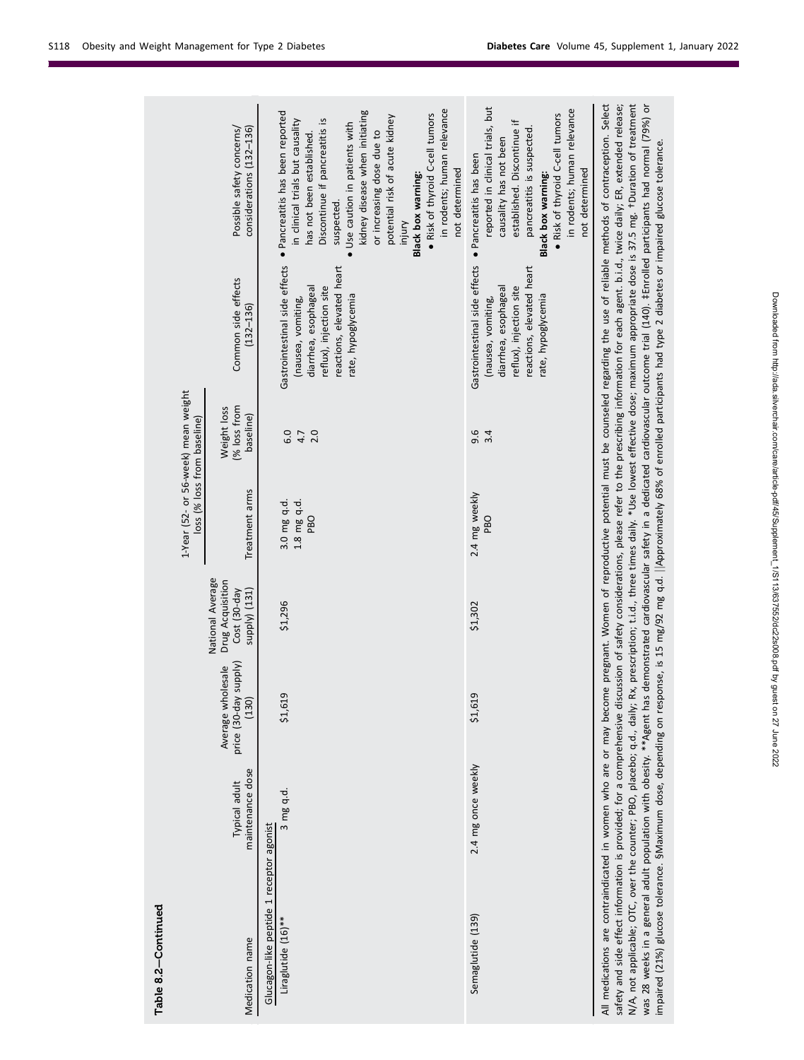| · Pancreatitis has been<br>not determined<br>not determined<br>Black box warning:<br>Black box warning:<br>suspected.<br>injury<br>Gastrointestinal side effects<br>Gastrointestinal side effects<br>reactions, elevated heart<br>reactions, elevated heart<br>Common side effects<br>reflux), injection site<br>diarrhea, esophageal<br>reflux), injection site<br>diarrhea, esophageal<br>rate, hypoglycemia<br>rate, hypoglycemia<br>(nausea, vomiting,<br>(nausea, vomiting,<br>$(132 - 136)$<br>(% loss from<br>Weight loss<br>baseline)<br>9.6<br>3.4<br>6.0<br>4.7<br>2.0<br>Treatment arms<br>2.4 mg weekly<br>1.8 mg q.d.<br>3.0 mg q.d.<br>PBO<br>PBO<br>Drug Acquisition<br>Cost (30-day<br>supply) (131)<br>\$1,296<br>\$1,302<br>(Alddns<br>Average wholesale<br>price (30-day<br>\$1,619<br>\$1,619<br>(130)<br>2.4 mg once weekly<br>maintenance dose<br>Typical adult<br>3 mg q.d.<br>Glucagon-like peptide 1 receptor agonist<br>Semaglutide (139)<br>Liraglutide (16)** |                 |  |                  | 1-Year (52- or 56-week) mean weight | loss (% loss from baseline) |                                                                                                                                                                                                                                                                                                                                        |
|-------------------------------------------------------------------------------------------------------------------------------------------------------------------------------------------------------------------------------------------------------------------------------------------------------------------------------------------------------------------------------------------------------------------------------------------------------------------------------------------------------------------------------------------------------------------------------------------------------------------------------------------------------------------------------------------------------------------------------------------------------------------------------------------------------------------------------------------------------------------------------------------------------------------------------------------------------------------------------------------|-----------------|--|------------------|-------------------------------------|-----------------------------|----------------------------------------------------------------------------------------------------------------------------------------------------------------------------------------------------------------------------------------------------------------------------------------------------------------------------------------|
|                                                                                                                                                                                                                                                                                                                                                                                                                                                                                                                                                                                                                                                                                                                                                                                                                                                                                                                                                                                           | Medication name |  | National Average |                                     |                             | Possible safety concerns/<br>considerations (132-136)                                                                                                                                                                                                                                                                                  |
|                                                                                                                                                                                                                                                                                                                                                                                                                                                                                                                                                                                                                                                                                                                                                                                                                                                                                                                                                                                           |                 |  |                  |                                     |                             |                                                                                                                                                                                                                                                                                                                                        |
|                                                                                                                                                                                                                                                                                                                                                                                                                                                                                                                                                                                                                                                                                                                                                                                                                                                                                                                                                                                           |                 |  |                  |                                     |                             | in rodents; human relevance<br>kidney disease when initiating<br>· Pancreatitis has been reported<br>. Risk of thyroid C-cell tumors<br>potential risk of acute kidney<br>in clinical trials but causality<br>Discontinue if pancreatitis is<br>Use caution in patients with<br>or increasing dose due to<br>has not been established. |
|                                                                                                                                                                                                                                                                                                                                                                                                                                                                                                                                                                                                                                                                                                                                                                                                                                                                                                                                                                                           |                 |  |                  |                                     |                             | reported in clinical trials, but<br>in rodents; human relevance<br>. Risk of thyroid C-cell tumors<br>established. Discontinue if<br>pancreatitis is suspected.<br>causality has not been                                                                                                                                              |

N/A, not applicable; OTC, over the counter; PBO, placebo; q.d., daily; Kx, prescription; t.i.d., three times daily. "Use lowest effective dose; maximum appropriate dose is 3/.5 mg. TUlration of treatment<br>was 28 weeks in a N/A, not applicable; OTC, over the counter; PBO, placebo; q.d., daily; Rx, prescription; t.i.d., three times daily. \*Use lowest effective dose; maximum appropriate dose is 37.5 mg. †Duration of treatment was 28 weeks in a general adult population with obesity. \*\*Agent has demonstrated cardiovascular outcome trial (140). ‡Enrolled participants had normal (79%) or impaired (21%) glucose tolerance. SMaximum dose, depending on response, is 15 mg/92 mg q.d. ||Approximately 68% of enrolled participants had type 2 diabetes or impaired glucose tolerance. impaired (21%) glucose tolerance. §Maximum dose, depending on response, is 15 mg/92 mg q.d. jjApproximately 68% of enrolled participants had type 2 diabetes or impaired glucose tolerance.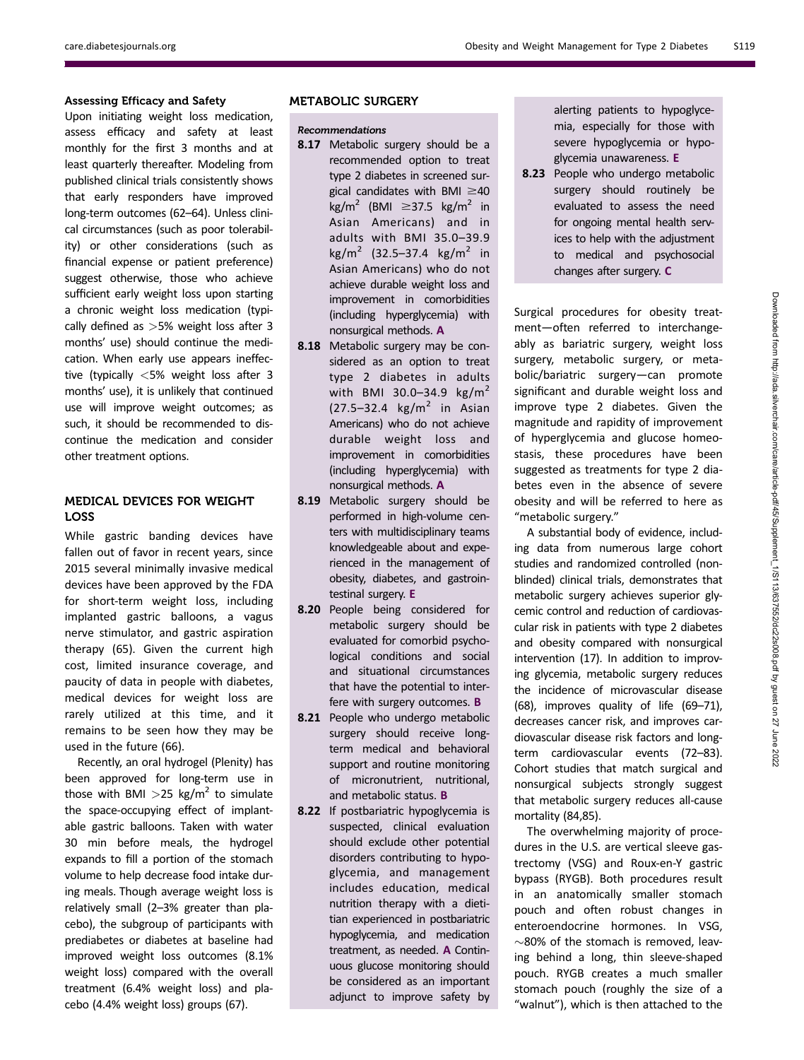# Assessing Efficacy and Safety

Upon initiating weight loss medication, assess efficacy and safety at least monthly for the first 3 months and at least quarterly thereafter. Modeling from published clinical trials consistently shows that early responders have improved long-term outcomes (62–64). Unless clinical circumstances (such as poor tolerability) or other considerations (such as financial expense or patient preference) suggest otherwise, those who achieve sufficient early weight loss upon starting a chronic weight loss medication (typically defined as  $>5%$  weight loss after 3 months' use) should continue the medication. When early use appears ineffective (typically <5% weight loss after 3 months' use), it is unlikely that continued use will improve weight outcomes; as such, it should be recommended to discontinue the medication and consider other treatment options.

# MEDICAL DEVICES FOR WEIGHT LOSS

While gastric banding devices have fallen out of favor in recent years, since 2015 several minimally invasive medical devices have been approved by the FDA for short-term weight loss, including implanted gastric balloons, a vagus nerve stimulator, and gastric aspiration therapy (65). Given the current high cost, limited insurance coverage, and paucity of data in people with diabetes, medical devices for weight loss are rarely utilized at this time, and it remains to be seen how they may be used in the future (66).

Recently, an oral hydrogel (Plenity) has been approved for long-term use in those with BMI  $>$ 25 kg/m<sup>2</sup> to simulate the space-occupying effect of implantable gastric balloons. Taken with water 30 min before meals, the hydrogel expands to fill a portion of the stomach volume to help decrease food intake during meals. Though average weight loss is relatively small (2–3% greater than placebo), the subgroup of participants with prediabetes or diabetes at baseline had improved weight loss outcomes (8.1% weight loss) compared with the overall treatment (6.4% weight loss) and placebo (4.4% weight loss) groups (67).

## METABOLIC SURGERY

#### Recommendations

- 8.17 Metabolic surgery should be a recommended option to treat type 2 diabetes in screened surgical candidates with BMI  $\geq$ 40 kg/m<sup>2</sup> (BMI  $\geq$ 37.5 kg/m<sup>2</sup> in Asian Americans) and in adults with BMI 35.0–39.9 kg/m<sup>2</sup> (32.5–37.4 kg/m<sup>2</sup> in Asian Americans) who do not achieve durable weight loss and improvement in comorbidities (including hyperglycemia) with nonsurgical methods. A
- 8.18 Metabolic surgery may be considered as an option to treat type 2 diabetes in adults with BMI 30.0–34.9 kg/m<sup>2</sup>  $(27.5-32.4 \text{ kg/m}^2 \text{ in Asian})$ Americans) who do not achieve durable weight loss and improvement in comorbidities (including hyperglycemia) with nonsurgical methods. A
- 8.19 Metabolic surgery should be performed in high-volume centers with multidisciplinary teams knowledgeable about and experienced in the management of obesity, diabetes, and gastrointestinal surgery. E
- 8.20 People being considered for metabolic surgery should be evaluated for comorbid psychological conditions and social and situational circumstances that have the potential to interfere with surgery outcomes. **B**
- 8.21 People who undergo metabolic surgery should receive longterm medical and behavioral support and routine monitoring of micronutrient, nutritional, and metabolic status. **B**
- 8.22 If postbariatric hypoglycemia is suspected, clinical evaluation should exclude other potential disorders contributing to hypoglycemia, and management includes education, medical nutrition therapy with a dietitian experienced in postbariatric hypoglycemia, and medication treatment, as needed. A Continuous glucose monitoring should be considered as an important adjunct to improve safety by

alerting patients to hypoglycemia, especially for those with severe hypoglycemia or hypoglycemia unawareness. E

8.23 People who undergo metabolic surgery should routinely be evaluated to assess the need for ongoing mental health services to help with the adjustment to medical and psychosocial changes after surgery. C

Surgical procedures for obesity treatment—often referred to interchangeably as bariatric surgery, weight loss surgery, metabolic surgery, or metabolic/bariatric surgery—can promote significant and durable weight loss and improve type 2 diabetes. Given the magnitude and rapidity of improvement of hyperglycemia and glucose homeostasis, these procedures have been suggested as treatments for type 2 diabetes even in the absence of severe obesity and will be referred to here as "metabolic surgery."

A substantial body of evidence, including data from numerous large cohort studies and randomized controlled (nonblinded) clinical trials, demonstrates that metabolic surgery achieves superior glycemic control and reduction of cardiovascular risk in patients with type 2 diabetes and obesity compared with nonsurgical intervention (17). In addition to improving glycemia, metabolic surgery reduces the incidence of microvascular disease (68), improves quality of life (69–71), decreases cancer risk, and improves cardiovascular disease risk factors and longterm cardiovascular events (72–83). Cohort studies that match surgical and nonsurgical subjects strongly suggest that metabolic surgery reduces all-cause mortality (84,85).

The overwhelming majority of procedures in the U.S. are vertical sleeve gastrectomy (VSG) and Roux-en-Y gastric bypass (RYGB). Both procedures result in an anatomically smaller stomach pouch and often robust changes in enteroendocrine hormones. In VSG,  $\sim$ 80% of the stomach is removed, leaving behind a long, thin sleeve-shaped pouch. RYGB creates a much smaller stomach pouch (roughly the size of a "walnut"), which is then attached to the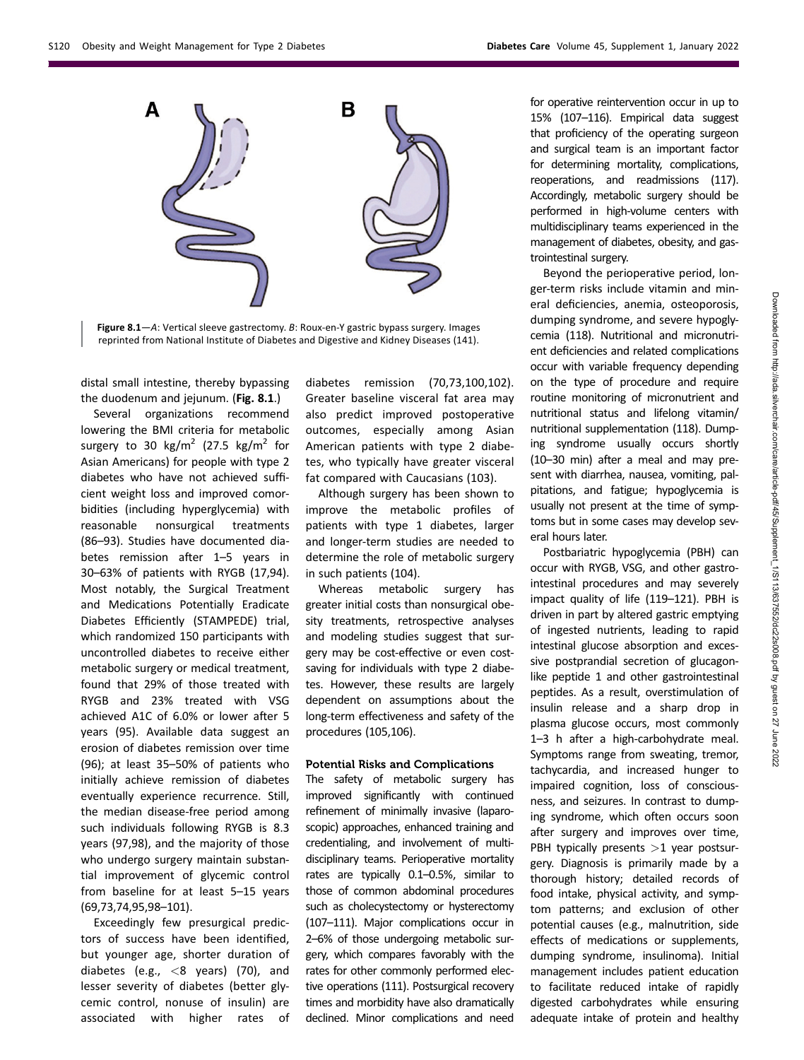

Figure 8.1—A: Vertical sleeve gastrectomy. B: Roux-en-Y gastric bypass surgery. Images reprinted from National Institute of Diabetes and Digestive and Kidney Diseases (141).

distal small intestine, thereby bypassing the duodenum and jejunum. (Fig. 8.1.)

Several organizations recommend lowering the BMI criteria for metabolic surgery to 30 kg/m<sup>2</sup> (27.5 kg/m<sup>2</sup> for Asian Americans) for people with type 2 diabetes who have not achieved sufficient weight loss and improved comorbidities (including hyperglycemia) with reasonable nonsurgical treatments (86–93). Studies have documented diabetes remission after 1–5 years in 30–63% of patients with RYGB (17,94). Most notably, the Surgical Treatment and Medications Potentially Eradicate Diabetes Efficiently (STAMPEDE) trial, which randomized 150 participants with uncontrolled diabetes to receive either metabolic surgery or medical treatment, found that 29% of those treated with RYGB and 23% treated with VSG achieved A1C of 6.0% or lower after 5 years (95). Available data suggest an erosion of diabetes remission over time (96); at least 35–50% of patients who initially achieve remission of diabetes eventually experience recurrence. Still, the median disease-free period among such individuals following RYGB is 8.3 years (97,98), and the majority of those who undergo surgery maintain substantial improvement of glycemic control from baseline for at least 5–15 years (69,73,74,95,98–101).

Exceedingly few presurgical predictors of success have been identified, but younger age, shorter duration of diabetes (e.g.,  $<$ 8 years) (70), and lesser severity of diabetes (better glycemic control, nonuse of insulin) are associated with higher rates of

diabetes remission (70,73,100,102). Greater baseline visceral fat area may also predict improved postoperative outcomes, especially among Asian American patients with type 2 diabetes, who typically have greater visceral fat compared with Caucasians (103).

Although surgery has been shown to improve the metabolic profiles of patients with type 1 diabetes, larger and longer-term studies are needed to determine the role of metabolic surgery in such patients (104).

Whereas metabolic surgery has greater initial costs than nonsurgical obesity treatments, retrospective analyses and modeling studies suggest that surgery may be cost-effective or even costsaving for individuals with type 2 diabetes. However, these results are largely dependent on assumptions about the long-term effectiveness and safety of the procedures (105,106).

## Potential Risks and Complications

The safety of metabolic surgery has improved significantly with continued refinement of minimally invasive (laparoscopic) approaches, enhanced training and credentialing, and involvement of multidisciplinary teams. Perioperative mortality rates are typically 0.1–0.5%, similar to those of common abdominal procedures such as cholecystectomy or hysterectomy (107–111). Major complications occur in 2–6% of those undergoing metabolic surgery, which compares favorably with the rates for other commonly performed elective operations (111). Postsurgical recovery times and morbidity have also dramatically declined. Minor complications and need

for operative reintervention occur in up to 15% (107–116). Empirical data suggest that proficiency of the operating surgeon and surgical team is an important factor for determining mortality, complications, reoperations, and readmissions (117). Accordingly, metabolic surgery should be performed in high-volume centers with multidisciplinary teams experienced in the management of diabetes, obesity, and gastrointestinal surgery.

Beyond the perioperative period, longer-term risks include vitamin and mineral deficiencies, anemia, osteoporosis, dumping syndrome, and severe hypoglycemia (118). Nutritional and micronutrient deficiencies and related complications occur with variable frequency depending on the type of procedure and require routine monitoring of micronutrient and nutritional status and lifelong vitamin/ nutritional supplementation (118). Dumping syndrome usually occurs shortly (10–30 min) after a meal and may present with diarrhea, nausea, vomiting, palpitations, and fatigue; hypoglycemia is usually not present at the time of symptoms but in some cases may develop several hours later.

Postbariatric hypoglycemia (PBH) can occur with RYGB, VSG, and other gastrointestinal procedures and may severely impact quality of life (119–121). PBH is driven in part by altered gastric emptying of ingested nutrients, leading to rapid intestinal glucose absorption and excessive postprandial secretion of glucagonlike peptide 1 and other gastrointestinal peptides. As a result, overstimulation of insulin release and a sharp drop in plasma glucose occurs, most commonly 1–3 h after a high-carbohydrate meal. Symptoms range from sweating, tremor, tachycardia, and increased hunger to impaired cognition, loss of consciousness, and seizures. In contrast to dumping syndrome, which often occurs soon after surgery and improves over time, PBH typically presents  $>1$  year postsurgery. Diagnosis is primarily made by a thorough history; detailed records of food intake, physical activity, and symptom patterns; and exclusion of other potential causes (e.g., malnutrition, side effects of medications or supplements, dumping syndrome, insulinoma). Initial management includes patient education to facilitate reduced intake of rapidly digested carbohydrates while ensuring adequate intake of protein and healthy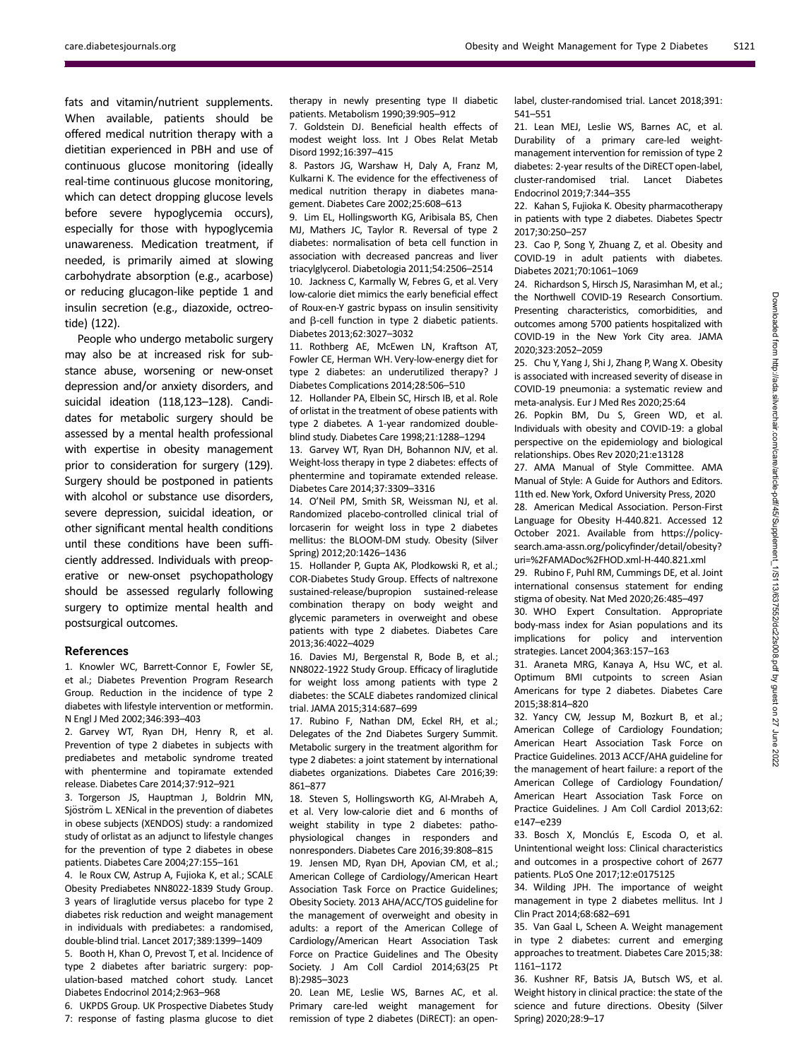fats and vitamin/nutrient supplements. When available, patients should be offered medical nutrition therapy with a dietitian experienced in PBH and use of continuous glucose monitoring (ideally real-time continuous glucose monitoring, which can detect dropping glucose levels before severe hypoglycemia occurs), especially for those with hypoglycemia unawareness. Medication treatment, if needed, is primarily aimed at slowing carbohydrate absorption (e.g., acarbose) or reducing glucagon-like peptide 1 and insulin secretion (e.g., diazoxide, octreotide) (122).

People who undergo metabolic surgery may also be at increased risk for substance abuse, worsening or new-onset depression and/or anxiety disorders, and suicidal ideation (118,123–128). Candidates for metabolic surgery should be assessed by a mental health professional with expertise in obesity management prior to consideration for surgery (129). Surgery should be postponed in patients with alcohol or substance use disorders, severe depression, suicidal ideation, or other significant mental health conditions until these conditions have been sufficiently addressed. Individuals with preoperative or new-onset psychopathology should be assessed regularly following surgery to optimize mental health and postsurgical outcomes.

#### References

1. Knowler WC, Barrett-Connor E, Fowler SE, et al.; Diabetes Prevention Program Research Group. Reduction in the incidence of type 2 diabetes with lifestyle intervention or metformin. N Engl J Med 2002;346:393–403

2. Garvey WT, Ryan DH, Henry R, et al. Prevention of type 2 diabetes in subjects with prediabetes and metabolic syndrome treated with phentermine and topiramate extended release. Diabetes Care 2014;37:912–921

3. Torgerson JS, Hauptman J, Boldrin MN, Sjöström L. XENical in the prevention of diabetes in obese subjects (XENDOS) study: a randomized study of orlistat as an adjunct to lifestyle changes for the prevention of type 2 diabetes in obese patients. Diabetes Care 2004;27:155–161

4. le Roux CW, Astrup A, Fujioka K, et al.; SCALE Obesity Prediabetes NN8022-1839 Study Group. 3 years of liraglutide versus placebo for type 2 diabetes risk reduction and weight management in individuals with prediabetes: a randomised, double-blind trial. Lancet 2017;389:1399–1409

5. Booth H, Khan O, Prevost T, et al. Incidence of type 2 diabetes after bariatric surgery: population-based matched cohort study. Lancet Diabetes Endocrinol 2014;2:963–968

6. UKPDS Group. UK Prospective Diabetes Study 7: response of fasting plasma glucose to diet therapy in newly presenting type II diabetic patients. Metabolism 1990;39:905–912

7. Goldstein DJ. Beneficial health effects of modest weight loss. Int J Obes Relat Metab Disord 1992;16:397–415

8. Pastors JG, Warshaw H, Daly A, Franz M, Kulkarni K. The evidence for the effectiveness of medical nutrition therapy in diabetes management. Diabetes Care 2002;25:608–613

9. Lim EL, Hollingsworth KG, Aribisala BS, Chen MJ, Mathers JC, Taylor R. Reversal of type 2 diabetes: normalisation of beta cell function in association with decreased pancreas and liver triacylglycerol. Diabetologia 2011;54:2506–2514 10. Jackness C, Karmally W, Febres G, et al. Very low-calorie diet mimics the early beneficial effect of Roux-en-Y gastric bypass on insulin sensitivity and  $\beta$ -cell function in type 2 diabetic patients. Diabetes 2013;62:3027–3032

11. Rothberg AE, McEwen LN, Kraftson AT, Fowler CE, Herman WH. Very-low-energy diet for type 2 diabetes: an underutilized therapy? J Diabetes Complications 2014;28:506–510

12. Hollander PA, Elbein SC, Hirsch IB, et al. Role of orlistat in the treatment of obese patients with type 2 diabetes. A 1-year randomized doubleblind study. Diabetes Care 1998;21:1288–1294

13. Garvey WT, Ryan DH, Bohannon NJV, et al. Weight-loss therapy in type 2 diabetes: effects of phentermine and topiramate extended release. Diabetes Care 2014;37:3309–3316

14. O'Neil PM, Smith SR, Weissman NJ, et al. Randomized placebo-controlled clinical trial of lorcaserin for weight loss in type 2 diabetes mellitus: the BLOOM-DM study. Obesity (Silver Spring) 2012;20:1426–1436

15. Hollander P, Gupta AK, Plodkowski R, et al.; COR-Diabetes Study Group. Effects of naltrexone sustained-release/bupropion sustained-release combination therapy on body weight and glycemic parameters in overweight and obese patients with type 2 diabetes. Diabetes Care 2013;36:4022–4029

16. Davies MJ, Bergenstal R, Bode B, et al.; NN8022-1922 Study Group. Efficacy of liraglutide for weight loss among patients with type 2 diabetes: the SCALE diabetes randomized clinical trial. JAMA 2015;314:687–699

17. Rubino F, Nathan DM, Eckel RH, et al.; Delegates of the 2nd Diabetes Surgery Summit. Metabolic surgery in the treatment algorithm for type 2 diabetes: a joint statement by international diabetes organizations. Diabetes Care 2016;39: 861–877

18. Steven S, Hollingsworth KG, Al-Mrabeh A, et al. Very low-calorie diet and 6 months of weight stability in type 2 diabetes: pathophysiological changes in responders and nonresponders. Diabetes Care 2016;39:808–815 19. Jensen MD, Ryan DH, Apovian CM, et al.; American College of Cardiology/American Heart Association Task Force on Practice Guidelines; Obesity Society. 2013 AHA/ACC/TOS guideline for the management of overweight and obesity in adults: a report of the American College of Cardiology/American Heart Association Task Force on Practice Guidelines and The Obesity Society. J Am Coll Cardiol 2014;63(25 Pt B):2985–3023

20. Lean ME, Leslie WS, Barnes AC, et al. Primary care-led weight management for remission of type 2 diabetes (DiRECT): an openlabel, cluster-randomised trial. Lancet 2018;391: 541–551

21. Lean MEJ, Leslie WS, Barnes AC, et al. Durability of a primary care-led weightmanagement intervention for remission of type 2 diabetes: 2-year results of the DiRECT open-label, cluster-randomised trial. Lancet Diabetes Endocrinol 2019;7:344–355

22. Kahan S, Fujioka K. Obesity pharmacotherapy in patients with type 2 diabetes. Diabetes Spectr 2017;30:250–257

23. Cao P, Song Y, Zhuang Z, et al. Obesity and COVID-19 in adult patients with diabetes. Diabetes 2021;70:1061–1069

24. Richardson S, Hirsch JS, Narasimhan M, et al.; the Northwell COVID-19 Research Consortium. Presenting characteristics, comorbidities, and outcomes among 5700 patients hospitalized with COVID-19 in the New York City area. JAMA 2020;323:2052–2059

25. Chu Y, Yang J, Shi J, Zhang P,Wang X. Obesity is associated with increased severity of disease in COVID-19 pneumonia: a systematic review and meta-analysis. Eur J Med Res 2020;25:64

26. Popkin BM, Du S, Green WD, et al. Individuals with obesity and COVID-19: a global perspective on the epidemiology and biological relationships. Obes Rev 2020;21:e13128

27. AMA Manual of Style Committee. AMA Manual of Style: A Guide for Authors and Editors. 11th ed. New York, Oxford University Press, 2020

28. American Medical Association. Person-First Language for Obesity H-440.821. Accessed 12 October 2021. Available from [https://policy](https://policysearch.ama-assn.org/policyfinder/detail/obesity?uri=%2FAMADoc%2FHOD.xml-H-440.821.xml)[search.ama-assn.org/policy](https://policysearch.ama-assn.org/policyfinder/detail/obesity?uri=%2FAMADoc%2FHOD.xml-H-440.821.xml)finder/detail/obesity? [uri=%2FAMADoc%2FHOD.xml-H-440.821.xml](https://policysearch.ama-assn.org/policyfinder/detail/obesity?uri=%2FAMADoc%2FHOD.xml-H-440.821.xml)

29. Rubino F, Puhl RM, Cummings DE, et al. Joint international consensus statement for ending stigma of obesity. Nat Med 2020;26:485–497

30. WHO Expert Consultation. Appropriate body-mass index for Asian populations and its implications for policy and intervention strategies. Lancet 2004;363:157–163

31. Araneta MRG, Kanaya A, Hsu WC, et al. Optimum BMI cutpoints to screen Asian Americans for type 2 diabetes. Diabetes Care 2015;38:814–820

32. Yancy CW, Jessup M, Bozkurt B, et al.; American College of Cardiology Foundation; American Heart Association Task Force on Practice Guidelines. 2013 ACCF/AHA guideline for the management of heart failure: a report of the American College of Cardiology Foundation/ American Heart Association Task Force on Practice Guidelines. J Am Coll Cardiol 2013;62: e147–e239

33. Bosch X, Monclús E, Escoda O, et al. Unintentional weight loss: Clinical characteristics and outcomes in a prospective cohort of 2677 patients. PLoS One 2017;12:e0175125

34. Wilding JPH. The importance of weight management in type 2 diabetes mellitus. Int J Clin Pract 2014;68:682–691

35. Van Gaal L, Scheen A. Weight management in type 2 diabetes: current and emerging approaches to treatment. Diabetes Care 2015;38: 1161–1172

36. Kushner RF, Batsis JA, Butsch WS, et al. Weight history in clinical practice: the state of the science and future directions. Obesity (Silver Spring) 2020;28:9–17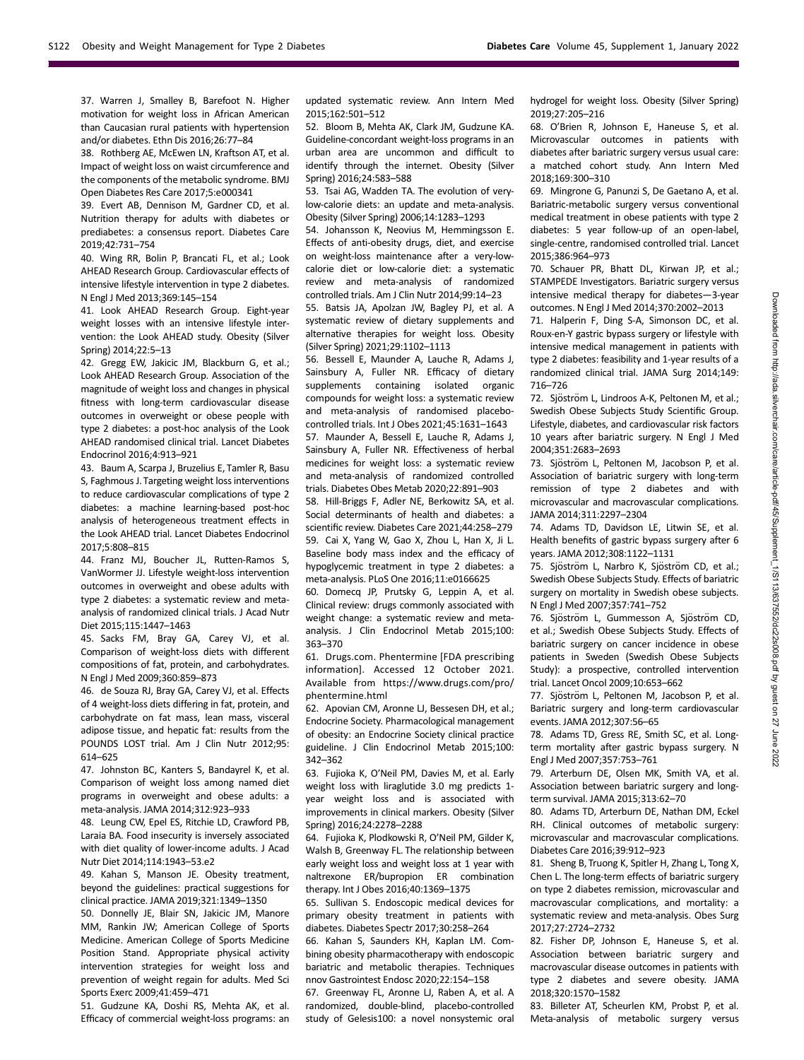37. Warren J, Smalley B, Barefoot N. Higher motivation for weight loss in African American than Caucasian rural patients with hypertension and/or diabetes. Ethn Dis 2016;26:77–84

38. Rothberg AE, McEwen LN, Kraftson AT, et al. Impact of weight loss on waist circumference and the components of the metabolic syndrome. BMJ Open Diabetes Res Care 2017;5:e000341

39. Evert AB, Dennison M, Gardner CD, et al. Nutrition therapy for adults with diabetes or prediabetes: a consensus report. Diabetes Care 2019;42:731–754

40. Wing RR, Bolin P, Brancati FL, et al.; Look AHEAD Research Group. Cardiovascular effects of intensive lifestyle intervention in type 2 diabetes. N Engl J Med 2013;369:145–154

41. Look AHEAD Research Group. Eight-year weight losses with an intensive lifestyle intervention: the Look AHEAD study. Obesity (Silver Spring) 2014;22:5–13

42. Gregg EW, Jakicic JM, Blackburn G, et al.; Look AHEAD Research Group. Association of the magnitude of weight loss and changes in physical fitness with long-term cardiovascular disease outcomes in overweight or obese people with type 2 diabetes: a post-hoc analysis of the Look AHEAD randomised clinical trial. Lancet Diabetes Endocrinol 2016;4:913–921

43. Baum A, Scarpa J, Bruzelius E, Tamler R, Basu S, Faghmous J. Targeting weight loss interventions to reduce cardiovascular complications of type 2 diabetes: a machine learning-based post-hoc analysis of heterogeneous treatment effects in the Look AHEAD trial. Lancet Diabetes Endocrinol 2017;5:808–815

44. Franz MJ, Boucher JL, Rutten-Ramos S, VanWormer JJ. Lifestyle weight-loss intervention outcomes in overweight and obese adults with type 2 diabetes: a systematic review and metaanalysis of randomized clinical trials. J Acad Nutr Diet 2015;115:1447–1463

45. Sacks FM, Bray GA, Carey VJ, et al. Comparison of weight-loss diets with different compositions of fat, protein, and carbohydrates. N Engl J Med 2009;360:859–873

46. de Souza RJ, Bray GA, Carey VJ, et al. Effects of 4 weight-loss diets differing in fat, protein, and carbohydrate on fat mass, lean mass, visceral adipose tissue, and hepatic fat: results from the POUNDS LOST trial. Am J Clin Nutr 2012;95: 614–625

47. Johnston BC, Kanters S, Bandayrel K, et al. Comparison of weight loss among named diet programs in overweight and obese adults: a meta-analysis. JAMA 2014;312:923–933

48. Leung CW, Epel ES, Ritchie LD, Crawford PB, Laraia BA. Food insecurity is inversely associated with diet quality of lower-income adults. J Acad Nutr Diet 2014;114:1943–53.e2

49. Kahan S, Manson JE. Obesity treatment, beyond the guidelines: practical suggestions for clinical practice. JAMA 2019;321:1349–1350

50. Donnelly JE, Blair SN, Jakicic JM, Manore MM, Rankin JW; American College of Sports Medicine. American College of Sports Medicine Position Stand. Appropriate physical activity intervention strategies for weight loss and prevention of weight regain for adults. Med Sci Sports Exerc 2009;41:459–471

51. Gudzune KA, Doshi RS, Mehta AK, et al. Efficacy of commercial weight-loss programs: an updated systematic review. Ann Intern Med 2015;162:501–512

52. Bloom B, Mehta AK, Clark JM, Gudzune KA. Guideline-concordant weight-loss programs in an urban area are uncommon and difficult to identify through the internet. Obesity (Silver Spring) 2016;24:583–588

53. Tsai AG, Wadden TA. The evolution of verylow-calorie diets: an update and meta-analysis. Obesity (Silver Spring) 2006;14:1283–1293

54. Johansson K, Neovius M, Hemmingsson E. Effects of anti-obesity drugs, diet, and exercise on weight-loss maintenance after a very-lowcalorie diet or low-calorie diet: a systematic review and meta-analysis of randomized controlled trials. Am J Clin Nutr 2014;99:14–23

55. Batsis JA, Apolzan JW, Bagley PJ, et al. A systematic review of dietary supplements and alternative therapies for weight loss. Obesity (Silver Spring) 2021;29:1102–1113

56. Bessell E, Maunder A, Lauche R, Adams J, Sainsbury A, Fuller NR. Efficacy of dietary supplements containing isolated organic compounds for weight loss: a systematic review and meta-analysis of randomised placebocontrolled trials. Int J Obes 2021;45:1631–1643

57. Maunder A, Bessell E, Lauche R, Adams J, Sainsbury A, Fuller NR. Effectiveness of herbal medicines for weight loss: a systematic review and meta-analysis of randomized controlled trials. Diabetes Obes Metab 2020;22:891–903

58. Hill-Briggs F, Adler NE, Berkowitz SA, et al. Social determinants of health and diabetes: a scientific review. Diabetes Care 2021;44:258–279 59. Cai X, Yang W, Gao X, Zhou L, Han X, Ji L. Baseline body mass index and the efficacy of hypoglycemic treatment in type 2 diabetes: a meta-analysis. PLoS One 2016;11:e0166625

60. Domecq JP, Prutsky G, Leppin A, et al. Clinical review: drugs commonly associated with weight change: a systematic review and metaanalysis. J Clin Endocrinol Metab 2015;100: 363–370

61. Drugs.com. Phentermine [FDA prescribing information]. Accessed 12 October 2021. Available from [https://www.drugs.com/pro/](https://www.drugs.com/pro/phentermine.html) [phentermine.html](https://www.drugs.com/pro/phentermine.html)

62. Apovian CM, Aronne LJ, Bessesen DH, et al.; Endocrine Society. Pharmacological management of obesity: an Endocrine Society clinical practice guideline. J Clin Endocrinol Metab 2015;100: 342–362

63. Fujioka K, O'Neil PM, Davies M, et al. Early weight loss with liraglutide 3.0 mg predicts 1 year weight loss and is associated with improvements in clinical markers. Obesity (Silver Spring) 2016;24:2278–2288

64. Fujioka K, Plodkowski R, O'Neil PM, Gilder K, Walsh B, Greenway FL. The relationship between early weight loss and weight loss at 1 year with naltrexone ER/bupropion ER combination therapy. Int J Obes 2016;40:1369–1375

65. Sullivan S. Endoscopic medical devices for primary obesity treatment in patients with diabetes. Diabetes Spectr 2017;30:258–264

66. Kahan S, Saunders KH, Kaplan LM. Combining obesity pharmacotherapy with endoscopic bariatric and metabolic therapies. Techniques nnov Gastrointest Endosc 2020;22:154–158

67. Greenway FL, Aronne LJ, Raben A, et al. A randomized, double-blind, placebo-controlled study of Gelesis100: a novel nonsystemic oral

hydrogel for weight loss. Obesity (Silver Spring) 2019;27:205–216

68. O'Brien R, Johnson E, Haneuse S, et al. Microvascular outcomes in patients with diabetes after bariatric surgery versus usual care: a matched cohort study. Ann Intern Med 2018;169:300–310

69. Mingrone G, Panunzi S, De Gaetano A, et al. Bariatric-metabolic surgery versus conventional medical treatment in obese patients with type 2 diabetes: 5 year follow-up of an open-label, single-centre, randomised controlled trial. Lancet 2015;386:964–973

70. Schauer PR, Bhatt DL, Kirwan JP, et al.; STAMPEDE Investigators. Bariatric surgery versus intensive medical therapy for diabetes—3-year outcomes. N Engl J Med 2014;370:2002–2013

71. Halperin F, Ding S-A, Simonson DC, et al. Roux-en-Y gastric bypass surgery or lifestyle with intensive medical management in patients with type 2 diabetes: feasibility and 1-year results of a randomized clinical trial. JAMA Surg 2014;149: 716–726

72. Sjöström L, Lindroos A-K, Peltonen M, et al.; Swedish Obese Subjects Study Scientific Group. Lifestyle, diabetes, and cardiovascular risk factors 10 years after bariatric surgery. N Engl J Med 2004;351:2683–2693

73. Sjöström L, Peltonen M, Jacobson P, et al. Association of bariatric surgery with long-term remission of type 2 diabetes and with microvascular and macrovascular complications. JAMA 2014;311:2297–2304

74. Adams TD, Davidson LE, Litwin SE, et al. Health benefits of gastric bypass surgery after 6 years. JAMA 2012;308:1122–1131

75. Sjöström L, Narbro K, Sjöström CD, et al.; Swedish Obese Subjects Study. Effects of bariatric surgery on mortality in Swedish obese subjects. N Engl J Med 2007;357:741–752

76. Sjöström L, Gummesson A, Sjöström CD, et al.; Swedish Obese Subjects Study. Effects of bariatric surgery on cancer incidence in obese patients in Sweden (Swedish Obese Subjects Study): a prospective, controlled intervention trial. Lancet Oncol 2009;10:653–662

77. Sjöström L, Peltonen M, Jacobson P, et al. Bariatric surgery and long-term cardiovascular events. JAMA 2012;307:56–65

78. Adams TD, Gress RE, Smith SC, et al. Longterm mortality after gastric bypass surgery. N Engl J Med 2007;357:753–761

79. Arterburn DE, Olsen MK, Smith VA, et al. Association between bariatric surgery and longterm survival. JAMA 2015;313:62–70

80. Adams TD, Arterburn DE, Nathan DM, Eckel RH. Clinical outcomes of metabolic surgery: microvascular and macrovascular complications. Diabetes Care 2016;39:912–923

81. Sheng B, Truong K, Spitler H, Zhang L, Tong X, Chen L. The long-term effects of bariatric surgery on type 2 diabetes remission, microvascular and macrovascular complications, and mortality: a systematic review and meta-analysis. Obes Surg 2017;27:2724–2732

82. Fisher DP, Johnson E, Haneuse S, et al. Association between bariatric surgery and macrovascular disease outcomes in patients with type 2 diabetes and severe obesity. JAMA 2018;320:1570–1582

83. Billeter AT, Scheurlen KM, Probst P, et al. Meta-analysis of metabolic surgery versus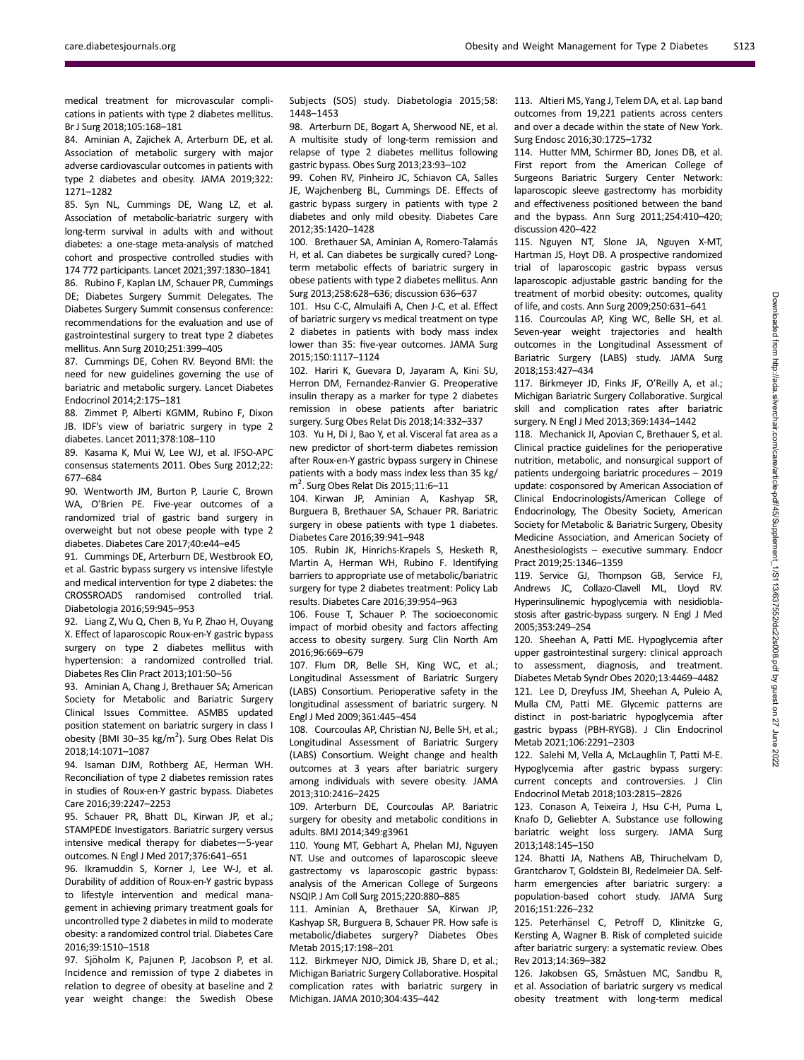medical treatment for microvascular complications in patients with type 2 diabetes mellitus. Br J Surg 2018;105:168–181

84. Aminian A, Zajichek A, Arterburn DE, et al. Association of metabolic surgery with major adverse cardiovascular outcomes in patients with type 2 diabetes and obesity. JAMA 2019;322: 1271–1282

85. Syn NL, Cummings DE, Wang LZ, et al. Association of metabolic-bariatric surgery with long-term survival in adults with and without diabetes: a one-stage meta-analysis of matched cohort and prospective controlled studies with 174 772 participants. Lancet 2021;397:1830–1841 86. Rubino F, Kaplan LM, Schauer PR, Cummings DE; Diabetes Surgery Summit Delegates. The Diabetes Surgery Summit consensus conference: recommendations for the evaluation and use of gastrointestinal surgery to treat type 2 diabetes mellitus. Ann Surg 2010;251:399–405

87. Cummings DE, Cohen RV. Beyond BMI: the need for new guidelines governing the use of bariatric and metabolic surgery. Lancet Diabetes Endocrinol 2014;2:175–181

88. Zimmet P, Alberti KGMM, Rubino F, Dixon JB. IDF's view of bariatric surgery in type 2 diabetes. Lancet 2011;378:108–110

89. Kasama K, Mui W, Lee WJ, et al. IFSO-APC consensus statements 2011. Obes Surg 2012;22: 677–684

90. Wentworth JM, Burton P, Laurie C, Brown WA, O'Brien PE. Five-year outcomes of a randomized trial of gastric band surgery in overweight but not obese people with type 2 diabetes. Diabetes Care 2017;40:e44–e45

91. Cummings DE, Arterburn DE, Westbrook EO, et al. Gastric bypass surgery vs intensive lifestyle and medical intervention for type 2 diabetes: the CROSSROADS randomised controlled trial. Diabetologia 2016;59:945–953

92. Liang Z,Wu Q, Chen B, Yu P, Zhao H, Ouyang X. Effect of laparoscopic Roux-en-Y gastric bypass surgery on type 2 diabetes mellitus with hypertension: a randomized controlled trial. Diabetes Res Clin Pract 2013;101:50–56

93. Aminian A, Chang J, Brethauer SA; American Society for Metabolic and Bariatric Surgery Clinical Issues Committee. ASMBS updated position statement on bariatric surgery in class I obesity (BMI 30-35 kg/m<sup>2</sup>). Surg Obes Relat Dis 2018;14:1071–1087

94. Isaman DJM, Rothberg AE, Herman WH. Reconciliation of type 2 diabetes remission rates in studies of Roux-en-Y gastric bypass. Diabetes Care 2016;39:2247–2253

95. Schauer PR, Bhatt DL, Kirwan JP, et al.; STAMPEDE Investigators. Bariatric surgery versus intensive medical therapy for diabetes—5-year outcomes. N Engl J Med 2017;376:641–651

96. Ikramuddin S, Korner J, Lee W-J, et al. Durability of addition of Roux-en-Y gastric bypass to lifestyle intervention and medical management in achieving primary treatment goals for uncontrolled type 2 diabetes in mild to moderate obesity: a randomized control trial. Diabetes Care 2016;39:1510–1518

97. Sjöholm K, Pajunen P, Jacobson P, et al. Incidence and remission of type 2 diabetes in relation to degree of obesity at baseline and 2 year weight change: the Swedish Obese Subjects (SOS) study. Diabetologia 2015;58: 1448–1453

98. Arterburn DE, Bogart A, Sherwood NE, et al. A multisite study of long-term remission and relapse of type 2 diabetes mellitus following gastric bypass. Obes Surg 2013;23:93–102

99. Cohen RV, Pinheiro JC, Schiavon CA, Salles JE, Wajchenberg BL, Cummings DE. Effects of gastric bypass surgery in patients with type 2 diabetes and only mild obesity. Diabetes Care 2012;35:1420–1428

100. Brethauer SA, Aminian A, Romero-Talamás H, et al. Can diabetes be surgically cured? Longterm metabolic effects of bariatric surgery in obese patients with type 2 diabetes mellitus. Ann Surg 2013;258:628–636; discussion 636–637

101. Hsu C-C, Almulaifi A, Chen J-C, et al. Effect of bariatric surgery vs medical treatment on type 2 diabetes in patients with body mass index lower than 35: five-year outcomes. JAMA Surg 2015;150:1117–1124

102. Hariri K, Guevara D, Jayaram A, Kini SU, Herron DM, Fernandez-Ranvier G. Preoperative insulin therapy as a marker for type 2 diabetes remission in obese patients after bariatric surgery. Surg Obes Relat Dis 2018;14:332–337

103. Yu H, Di J, Bao Y, et al. Visceral fat area as a new predictor of short-term diabetes remission after Roux-en-Y gastric bypass surgery in Chinese patients with a body mass index less than 35 kg/ .<br>m<sup>2</sup>. Surg Obes Relat Dis 2015;11:6–11

104. Kirwan JP, Aminian A, Kashyap SR, Burguera B, Brethauer SA, Schauer PR. Bariatric surgery in obese patients with type 1 diabetes. Diabetes Care 2016;39:941–948

105. Rubin JK, Hinrichs-Krapels S, Hesketh R, Martin A, Herman WH, Rubino F. Identifying barriers to appropriate use of metabolic/bariatric surgery for type 2 diabetes treatment: Policy Lab results. Diabetes Care 2016;39:954–963

106. Fouse T, Schauer P. The socioeconomic impact of morbid obesity and factors affecting access to obesity surgery. Surg Clin North Am 2016;96:669–679

107. Flum DR, Belle SH, King WC, et al.; Longitudinal Assessment of Bariatric Surgery (LABS) Consortium. Perioperative safety in the longitudinal assessment of bariatric surgery. N Engl J Med 2009;361:445–454

108. Courcoulas AP, Christian NJ, Belle SH, et al.; Longitudinal Assessment of Bariatric Surgery (LABS) Consortium. Weight change and health outcomes at 3 years after bariatric surgery among individuals with severe obesity. JAMA 2013;310:2416–2425

109. Arterburn DE, Courcoulas AP. Bariatric surgery for obesity and metabolic conditions in adults. BMJ 2014;349:g3961

110. Young MT, Gebhart A, Phelan MJ, Nguyen NT. Use and outcomes of laparoscopic sleeve gastrectomy vs laparoscopic gastric bypass: analysis of the American College of Surgeons NSQIP. J Am Coll Surg 2015;220:880–885

111. Aminian A, Brethauer SA, Kirwan JP, Kashyap SR, Burguera B, Schauer PR. How safe is metabolic/diabetes surgery? Diabetes Obes Metab 2015;17:198–201

112. Birkmeyer NJO, Dimick JB, Share D, et al.; Michigan Bariatric Surgery Collaborative. Hospital complication rates with bariatric surgery in Michigan. JAMA 2010;304:435–442

113. Altieri MS, Yang J, Telem DA, et al. Lap band outcomes from 19,221 patients across centers and over a decade within the state of New York. Surg Endosc 2016;30:1725–1732

114. Hutter MM, Schirmer BD, Jones DB, et al. First report from the American College of Surgeons Bariatric Surgery Center Network: laparoscopic sleeve gastrectomy has morbidity and effectiveness positioned between the band and the bypass. Ann Surg 2011;254:410–420; discussion 420–422

115. Nguyen NT, Slone JA, Nguyen X-MT, Hartman JS, Hoyt DB. A prospective randomized trial of laparoscopic gastric bypass versus laparoscopic adjustable gastric banding for the treatment of morbid obesity: outcomes, quality of life, and costs. Ann Surg 2009;250:631–641

116. Courcoulas AP, King WC, Belle SH, et al. Seven-year weight trajectories and health outcomes in the Longitudinal Assessment of Bariatric Surgery (LABS) study. JAMA Surg 2018;153:427–434

117. Birkmeyer JD, Finks JF, O'Reilly A, et al.; Michigan Bariatric Surgery Collaborative. Surgical skill and complication rates after bariatric surgery. N Engl J Med 2013;369:1434–1442

118. Mechanick JI, Apovian C, Brethauer S, et al. Clinical practice guidelines for the perioperative nutrition, metabolic, and nonsurgical support of patients undergoing bariatric procedures – 2019 update: cosponsored by American Association of Clinical Endocrinologists/American College of Endocrinology, The Obesity Society, American Society for Metabolic & Bariatric Surgery, Obesity Medicine Association, and American Society of Anesthesiologists – executive summary. Endocr Pract 2019;25:1346–1359

119. Service GJ, Thompson GB, Service FJ, Andrews JC, Collazo-Clavell ML, Lloyd RV. Hyperinsulinemic hypoglycemia with nesidioblastosis after gastric-bypass surgery. N Engl J Med 2005;353:249–254

120. Sheehan A, Patti ME. Hypoglycemia after upper gastrointestinal surgery: clinical approach to assessment, diagnosis, and treatment. Diabetes Metab Syndr Obes 2020;13:4469–4482 121. Lee D, Dreyfuss JM, Sheehan A, Puleio A, Mulla CM, Patti ME. Glycemic patterns are distinct in post-bariatric hypoglycemia after gastric bypass (PBH-RYGB). J Clin Endocrinol Metab 2021;106:2291–2303

122. Salehi M, Vella A, McLaughlin T, Patti M-E. Hypoglycemia after gastric bypass surgery: current concepts and controversies. J Clin Endocrinol Metab 2018;103:2815–2826

123. Conason A, Teixeira J, Hsu C-H, Puma L, Knafo D, Geliebter A. Substance use following bariatric weight loss surgery. JAMA Surg 2013;148:145–150

124. Bhatti JA, Nathens AB, Thiruchelvam D, Grantcharov T, Goldstein BI, Redelmeier DA. Selfharm emergencies after bariatric surgery: a population-based cohort study. JAMA Surg 2016;151:226–232

125. Peterhänsel C, Petroff D, Klinitzke G, Kersting A, Wagner B. Risk of completed suicide after bariatric surgery: a systematic review. Obes Rev 2013;14:369–382

126. Jakobsen GS, Småstuen MC, Sandbu R, et al. Association of bariatric surgery vs medical obesity treatment with long-term medical